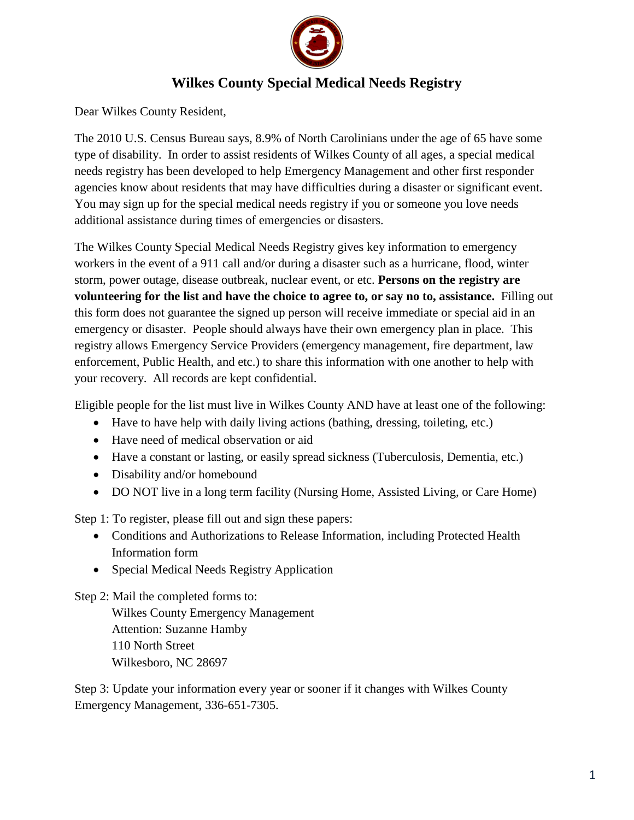

## **Wilkes County Special Medical Needs Registry**

Dear Wilkes County Resident,

The 2010 U.S. Census Bureau says, 8.9% of North Carolinians under the age of 65 have some type of disability. In order to assist residents of Wilkes County of all ages, a special medical needs registry has been developed to help Emergency Management and other first responder agencies know about residents that may have difficulties during a disaster or significant event. You may sign up for the special medical needs registry if you or someone you love needs additional assistance during times of emergencies or disasters.

The Wilkes County Special Medical Needs Registry gives key information to emergency workers in the event of a 911 call and/or during a disaster such as a hurricane, flood, winter storm, power outage, disease outbreak, nuclear event, or etc. **Persons on the registry are volunteering for the list and have the choice to agree to, or say no to, assistance.** Filling out this form does not guarantee the signed up person will receive immediate or special aid in an emergency or disaster. People should always have their own emergency plan in place. This registry allows Emergency Service Providers (emergency management, fire department, law enforcement, Public Health, and etc.) to share this information with one another to help with your recovery. All records are kept confidential.

Eligible people for the list must live in Wilkes County AND have at least one of the following:

- Have to have help with daily living actions (bathing, dressing, toileting, etc.)
- Have need of medical observation or aid
- Have a constant or lasting, or easily spread sickness (Tuberculosis, Dementia, etc.)
- Disability and/or homebound
- DO NOT live in a long term facility (Nursing Home, Assisted Living, or Care Home)

Step 1: To register, please fill out and sign these papers:

- Conditions and Authorizations to Release Information, including Protected Health Information form
- Special Medical Needs Registry Application

Step 2: Mail the completed forms to:

Wilkes County Emergency Management Attention: Suzanne Hamby 110 North Street Wilkesboro, NC 28697

Step 3: Update your information every year or sooner if it changes with Wilkes County Emergency Management, 336-651-7305.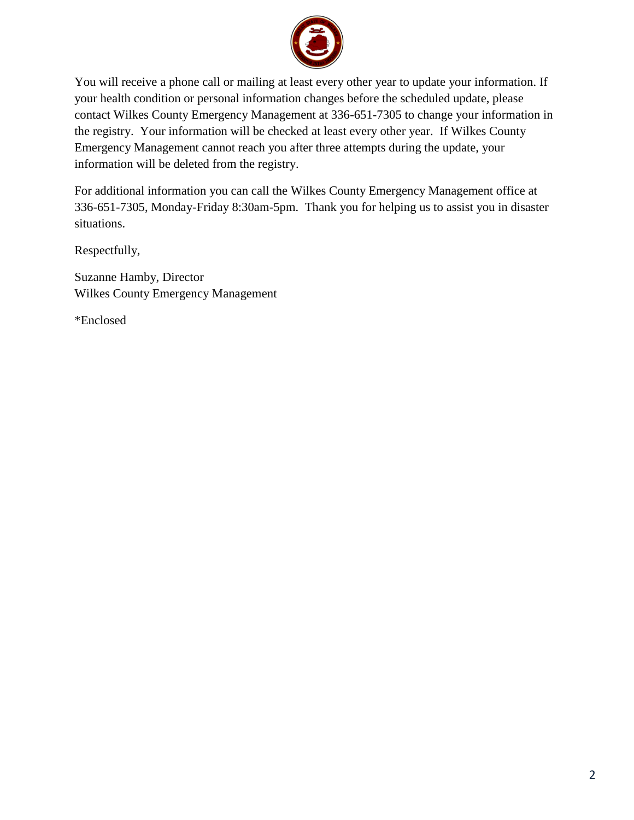

You will receive a phone call or mailing at least every other year to update your information. If your health condition or personal information changes before the scheduled update, please contact Wilkes County Emergency Management at 336-651-7305 to change your information in the registry. Your information will be checked at least every other year. If Wilkes County Emergency Management cannot reach you after three attempts during the update, your information will be deleted from the registry.

For additional information you can call the Wilkes County Emergency Management office at 336-651-7305, Monday-Friday 8:30am-5pm. Thank you for helping us to assist you in disaster situations.

Respectfully,

Suzanne Hamby, Director Wilkes County Emergency Management

\*Enclosed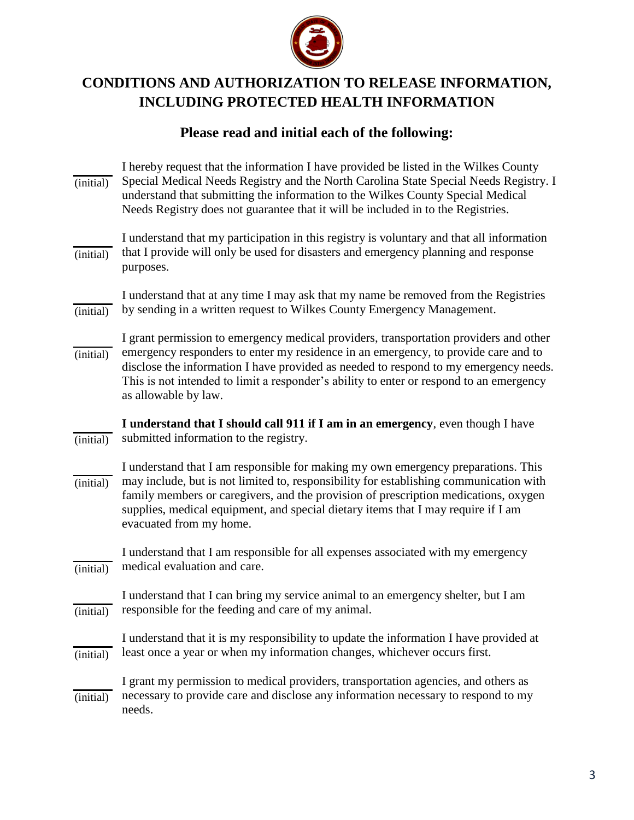

## **CONDITIONS AND AUTHORIZATION TO RELEASE INFORMATION, INCLUDING PROTECTED HEALTH INFORMATION**

## **Please read and initial each of the following:**

| (initial)        | I hereby request that the information I have provided be listed in the Wilkes County<br>Special Medical Needs Registry and the North Carolina State Special Needs Registry. I<br>understand that submitting the information to the Wilkes County Special Medical<br>Needs Registry does not guarantee that it will be included in to the Registries.                                   |
|------------------|----------------------------------------------------------------------------------------------------------------------------------------------------------------------------------------------------------------------------------------------------------------------------------------------------------------------------------------------------------------------------------------|
| (initial)        | I understand that my participation in this registry is voluntary and that all information<br>that I provide will only be used for disasters and emergency planning and response<br>purposes.                                                                                                                                                                                           |
| (initial)        | I understand that at any time I may ask that my name be removed from the Registries<br>by sending in a written request to Wilkes County Emergency Management.                                                                                                                                                                                                                          |
| $(i\nu$ initial) | I grant permission to emergency medical providers, transportation providers and other<br>emergency responders to enter my residence in an emergency, to provide care and to<br>disclose the information I have provided as needed to respond to my emergency needs.<br>This is not intended to limit a responder's ability to enter or respond to an emergency<br>as allowable by law. |
| (initial)        | I understand that I should call 911 if I am in an emergency, even though I have<br>submitted information to the registry.                                                                                                                                                                                                                                                              |
| (initial)        | I understand that I am responsible for making my own emergency preparations. This<br>may include, but is not limited to, responsibility for establishing communication with<br>family members or caregivers, and the provision of prescription medications, oxygen<br>supplies, medical equipment, and special dietary items that I may require if I am<br>evacuated from my home.     |
| (initial)        | I understand that I am responsible for all expenses associated with my emergency<br>medical evaluation and care.                                                                                                                                                                                                                                                                       |
| (initial)        | I understand that I can bring my service animal to an emergency shelter, but I am<br>responsible for the feeding and care of my animal.                                                                                                                                                                                                                                                |
| (initial)        | I understand that it is my responsibility to update the information I have provided at<br>least once a year or when my information changes, whichever occurs first.                                                                                                                                                                                                                    |
| (initial)        | I grant my permission to medical providers, transportation agencies, and others as<br>necessary to provide care and disclose any information necessary to respond to my<br>needs.                                                                                                                                                                                                      |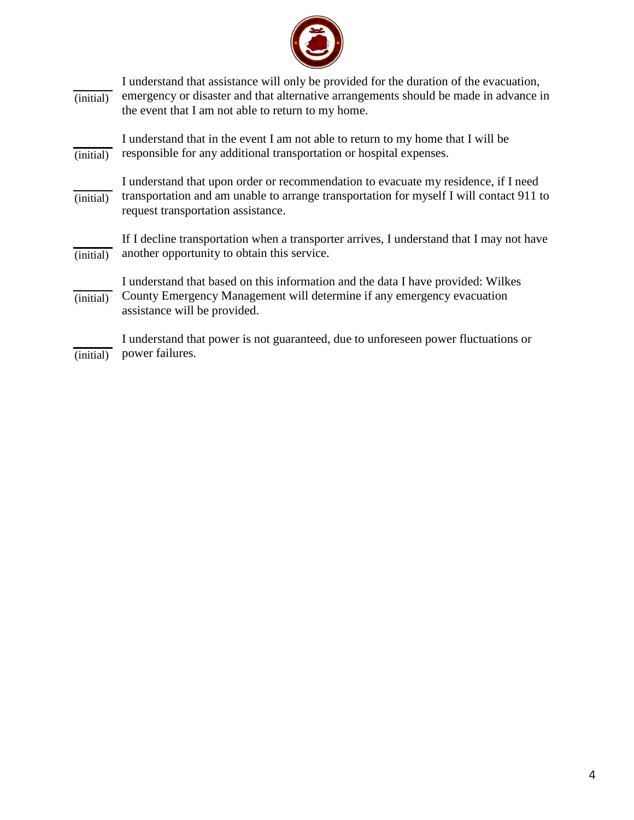

| (initial) | I understand that assistance will only be provided for the duration of the evacuation,<br>emergency or disaster and that alternative arrangements should be made in advance in<br>the event that I am not able to return to my home. |
|-----------|--------------------------------------------------------------------------------------------------------------------------------------------------------------------------------------------------------------------------------------|
| (initial) | I understand that in the event I am not able to return to my home that I will be<br>responsible for any additional transportation or hospital expenses.                                                                              |
| (initial) | I understand that upon order or recommendation to evacuate my residence, if I need<br>transportation and am unable to arrange transportation for myself I will contact 911 to<br>request transportation assistance.                  |
| (initial) | If I decline transportation when a transporter arrives, I understand that I may not have<br>another opportunity to obtain this service.                                                                                              |
| (initial) | I understand that based on this information and the data I have provided: Wilkes<br>County Emergency Management will determine if any emergency evacuation<br>assistance will be provided.                                           |
| (initial) | I understand that power is not guaranteed, due to unforeseen power fluctuations or<br>power failures.                                                                                                                                |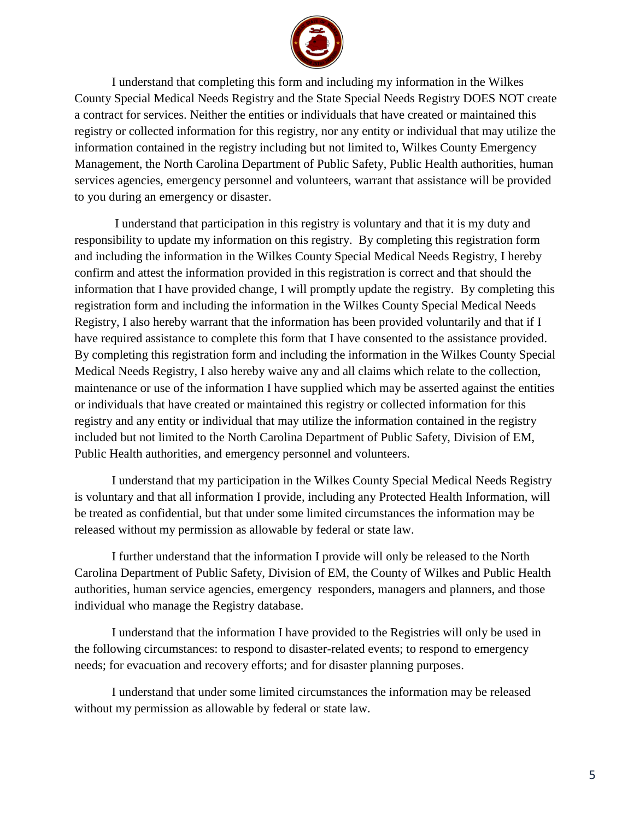

I understand that completing this form and including my information in the Wilkes County Special Medical Needs Registry and the State Special Needs Registry DOES NOT create a contract for services. Neither the entities or individuals that have created or maintained this registry or collected information for this registry, nor any entity or individual that may utilize the information contained in the registry including but not limited to, Wilkes County Emergency Management, the North Carolina Department of Public Safety, Public Health authorities, human services agencies, emergency personnel and volunteers, warrant that assistance will be provided to you during an emergency or disaster.

I understand that participation in this registry is voluntary and that it is my duty and responsibility to update my information on this registry. By completing this registration form and including the information in the Wilkes County Special Medical Needs Registry, I hereby confirm and attest the information provided in this registration is correct and that should the information that I have provided change, I will promptly update the registry. By completing this registration form and including the information in the Wilkes County Special Medical Needs Registry, I also hereby warrant that the information has been provided voluntarily and that if I have required assistance to complete this form that I have consented to the assistance provided. By completing this registration form and including the information in the Wilkes County Special Medical Needs Registry, I also hereby waive any and all claims which relate to the collection, maintenance or use of the information I have supplied which may be asserted against the entities or individuals that have created or maintained this registry or collected information for this registry and any entity or individual that may utilize the information contained in the registry included but not limited to the North Carolina Department of Public Safety, Division of EM, Public Health authorities, and emergency personnel and volunteers.

I understand that my participation in the Wilkes County Special Medical Needs Registry is voluntary and that all information I provide, including any Protected Health Information, will be treated as confidential, but that under some limited circumstances the information may be released without my permission as allowable by federal or state law.

I further understand that the information I provide will only be released to the North Carolina Department of Public Safety, Division of EM, the County of Wilkes and Public Health authorities, human service agencies, emergency responders, managers and planners, and those individual who manage the Registry database.

I understand that the information I have provided to the Registries will only be used in the following circumstances: to respond to disaster-related events; to respond to emergency needs; for evacuation and recovery efforts; and for disaster planning purposes.

I understand that under some limited circumstances the information may be released without my permission as allowable by federal or state law.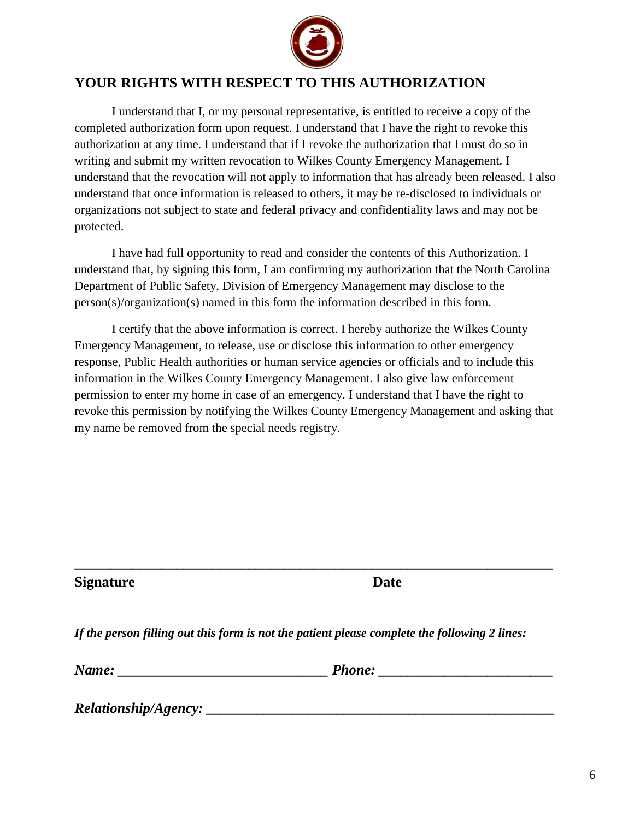

## **YOUR RIGHTS WITH RESPECT TO THIS AUTHORIZATION**

I understand that I, or my personal representative, is entitled to receive a copy of the completed authorization form upon request. I understand that I have the right to revoke this authorization at any time. I understand that if I revoke the authorization that I must do so in writing and submit my written revocation to Wilkes County Emergency Management. I understand that the revocation will not apply to information that has already been released. I also understand that once information is released to others, it may be re-disclosed to individuals or organizations not subject to state and federal privacy and confidentiality laws and may not be protected.

I have had full opportunity to read and consider the contents of this Authorization. I understand that, by signing this form, I am confirming my authorization that the North Carolina Department of Public Safety, Division of Emergency Management may disclose to the person(s)/organization(s) named in this form the information described in this form.

I certify that the above information is correct. I hereby authorize the Wilkes County Emergency Management, to release, use or disclose this information to other emergency response, Public Health authorities or human service agencies or officials and to include this information in the Wilkes County Emergency Management. I also give law enforcement permission to enter my home in case of an emergency. I understand that I have the right to revoke this permission by notifying the Wilkes County Emergency Management and asking that my name be removed from the special needs registry.

**Signature Date**

*If the person filling out this form is not the patient please complete the following 2 lines:*

**\_\_\_\_\_\_\_\_\_\_\_\_\_\_\_\_\_\_\_\_\_\_\_\_\_\_\_\_\_\_\_\_\_\_\_\_\_\_\_\_\_\_\_\_\_\_\_\_\_\_\_\_\_\_\_\_\_\_\_\_\_\_\_\_\_\_**

*Name: \_\_\_\_\_\_\_\_\_\_\_\_\_\_\_\_\_\_\_\_\_\_\_\_\_\_\_\_\_ Phone: \_\_\_\_\_\_\_\_\_\_\_\_\_\_\_\_\_\_\_\_\_\_\_\_*

*Relationship/Agency: \_\_\_\_\_\_\_\_\_\_\_\_\_\_\_\_\_\_\_\_\_\_\_\_\_\_\_\_\_\_\_\_\_\_\_\_\_\_\_\_\_\_\_\_\_\_\_\_*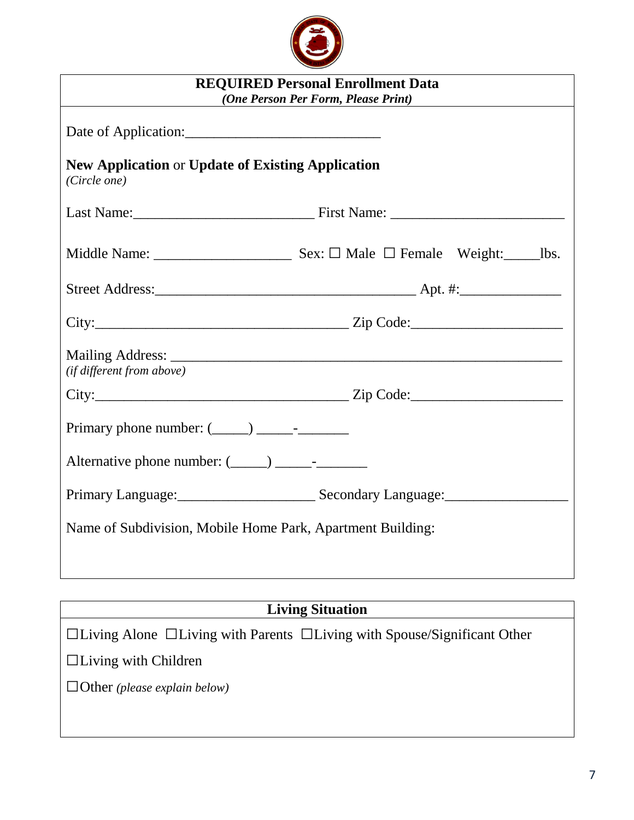

| <b>REQUIRED Personal Enrollment Data</b><br>(One Person Per Form, Please Print) |                                       |  |  |  |  |
|---------------------------------------------------------------------------------|---------------------------------------|--|--|--|--|
|                                                                                 |                                       |  |  |  |  |
| <b>New Application or Update of Existing Application</b><br>(Circle one)        |                                       |  |  |  |  |
|                                                                                 |                                       |  |  |  |  |
|                                                                                 |                                       |  |  |  |  |
|                                                                                 |                                       |  |  |  |  |
|                                                                                 |                                       |  |  |  |  |
| (if different from above)                                                       |                                       |  |  |  |  |
|                                                                                 | $City:$ $Zip Code:$                   |  |  |  |  |
| Primary phone number: $(\_\_) \_\_$ - $\_\_$ -                                  |                                       |  |  |  |  |
|                                                                                 |                                       |  |  |  |  |
|                                                                                 | Primary Language: Secondary Language: |  |  |  |  |
| Name of Subdivision, Mobile Home Park, Apartment Building:                      |                                       |  |  |  |  |
|                                                                                 |                                       |  |  |  |  |

**Living Situation**

□Living Alone □Living with Parents □Living with Spouse/Significant Other □Living with Children

□Other *(please explain below)*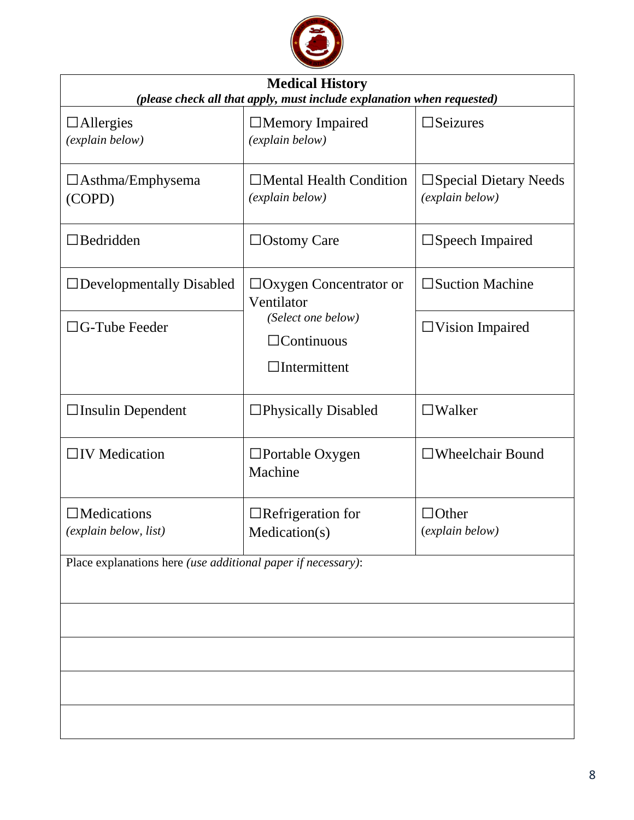

| <b>Medical History</b><br>(please check all that apply, must include explanation when requested) |                                                                |                                                    |  |  |  |
|--------------------------------------------------------------------------------------------------|----------------------------------------------------------------|----------------------------------------------------|--|--|--|
| $\Box$ Allergies<br>(explain below)                                                              | $\Box$ Memory Impaired<br>(explain below)                      | $\square$ Seizures                                 |  |  |  |
| $\Box$ Asthma/Emphysema<br>(COPD)                                                                | Mental Health Condition<br>(explain below)                     | $\square$ Special Dietary Needs<br>(explain below) |  |  |  |
| $\Box$ Bedridden                                                                                 | $\Box$ Ostomy Care                                             | $\square$ Speech Impaired                          |  |  |  |
| $\Box$ Developmentally Disabled                                                                  | $\Box$ Oxygen Concentrator or<br>Ventilator                    | $\square$ Suction Machine                          |  |  |  |
| $\Box G$ -Tube Feeder                                                                            | (Select one below)<br>$\Box$ Continuous<br>$\Box$ Intermittent | $\Box$ Vision Impaired                             |  |  |  |
| $\Box$ Insulin Dependent                                                                         | □Physically Disabled                                           | $\square$ Walker                                   |  |  |  |
| $\Box$ IV Medication                                                                             | $\Box$ Portable Oxygen<br>Machine                              | $\Box$ Wheelchair Bound                            |  |  |  |
| $\Box$ Medications<br>(explain below, list)                                                      | $\Box$ Refrigeration for<br>Medication(s)                      | $\Box$ Other<br>(explain below)                    |  |  |  |
| Place explanations here <i>(use additional paper if necessary)</i> :                             |                                                                |                                                    |  |  |  |
|                                                                                                  |                                                                |                                                    |  |  |  |
|                                                                                                  |                                                                |                                                    |  |  |  |
|                                                                                                  |                                                                |                                                    |  |  |  |
|                                                                                                  |                                                                |                                                    |  |  |  |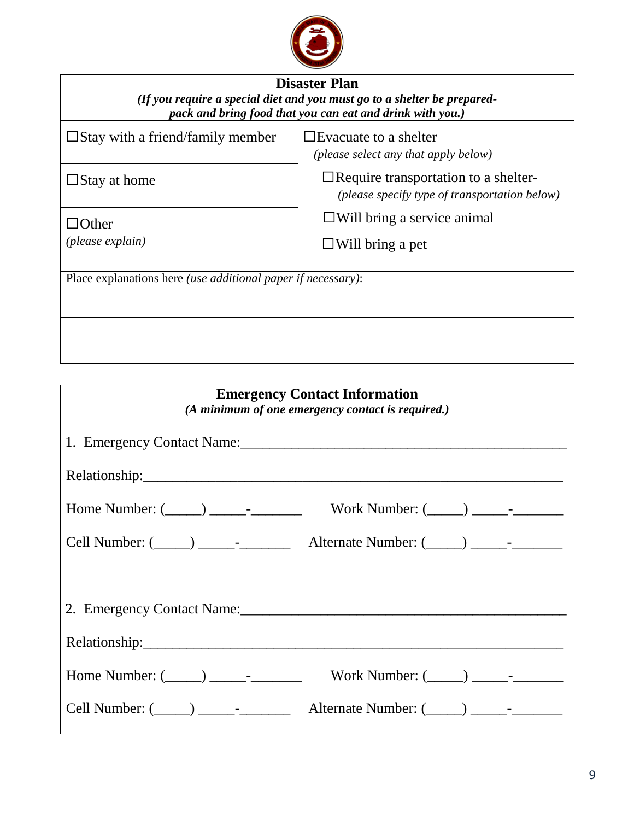

| <b>Disaster Plan</b>                                                                                                                  |                                                                                              |  |  |  |  |
|---------------------------------------------------------------------------------------------------------------------------------------|----------------------------------------------------------------------------------------------|--|--|--|--|
| (If you require a special diet and you must go to a shelter be prepared-<br>pack and bring food that you can eat and drink with you.) |                                                                                              |  |  |  |  |
| $\square$ Stay with a friend/family member                                                                                            | $\Box$ Evacuate to a shelter<br>( <i>please select any that apply below</i> )                |  |  |  |  |
| $\Box$ Stay at home                                                                                                                   | $\Box$ Require transportation to a shelter-<br>(please specify type of transportation below) |  |  |  |  |
| $\Box$ Other                                                                                                                          | $\Box$ Will bring a service animal                                                           |  |  |  |  |
| (please explain)                                                                                                                      | $\Box$ Will bring a pet                                                                      |  |  |  |  |
| Place explanations here <i>(use additional paper if necessary)</i> :                                                                  |                                                                                              |  |  |  |  |
|                                                                                                                                       |                                                                                              |  |  |  |  |
|                                                                                                                                       |                                                                                              |  |  |  |  |
|                                                                                                                                       |                                                                                              |  |  |  |  |